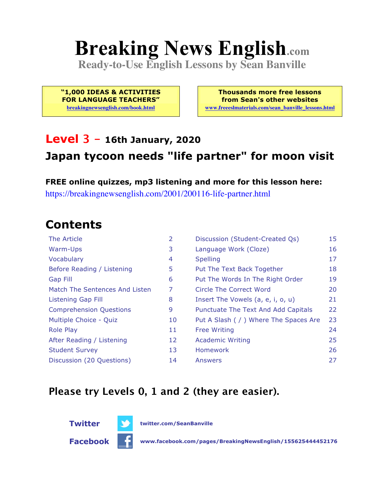# **Breaking News English.com**

**Ready-to-Use English Lessons by Sean Banville**

**"1,000 IDEAS & ACTIVITIES FOR LANGUAGE TEACHERS"**

**breakingnewsenglish.com/book.html**

**Thousands more free lessons from Sean's other websites www.freeeslmaterials.com/sean\_banville\_lessons.html**

#### **Level 3 - 16th January, 2020 Japan tycoon needs "life partner" for moon visit**

**FREE online quizzes, mp3 listening and more for this lesson here:** https://breakingnewsenglish.com/2001/200116-life-partner.html

### **Contents**

| The Article                    | 2  | Discussion (Student-Created Qs)        | 15 |
|--------------------------------|----|----------------------------------------|----|
| Warm-Ups                       | 3  | Language Work (Cloze)                  | 16 |
| Vocabulary                     | 4  | <b>Spelling</b>                        | 17 |
| Before Reading / Listening     | 5  | Put The Text Back Together             | 18 |
| <b>Gap Fill</b>                | 6  | Put The Words In The Right Order       | 19 |
| Match The Sentences And Listen | 7  | Circle The Correct Word                | 20 |
| Listening Gap Fill             | 8  | Insert The Vowels (a, e, i, o, u)      | 21 |
| <b>Comprehension Questions</b> | 9  | Punctuate The Text And Add Capitals    | 22 |
| Multiple Choice - Quiz         | 10 | Put A Slash ( / ) Where The Spaces Are | 23 |
| <b>Role Play</b>               | 11 | <b>Free Writing</b>                    | 24 |
| After Reading / Listening      | 12 | <b>Academic Writing</b>                | 25 |
| <b>Student Survey</b>          | 13 | Homework                               | 26 |
| Discussion (20 Questions)      | 14 | Answers                                | 27 |

#### **Please try Levels 0, 1 and 2 (they are easier).**



**Twitter twitter.com/SeanBanville**

**Facebook www.facebook.com/pages/BreakingNewsEnglish/155625444452176**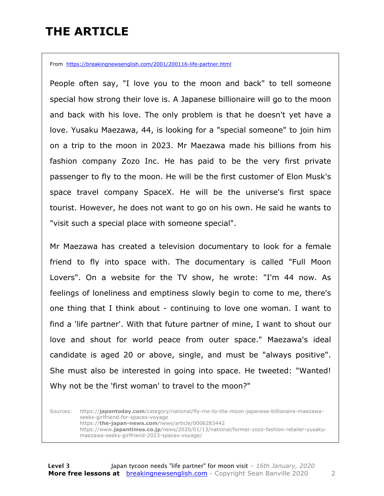### **THE ARTICLE**

From https://breakingnewsenglish.com/2001/200116-life-partner.html

People often say, "I love you to the moon and back" to tell someone special how strong their love is. A Japanese billionaire will go to the moon and back with his love. The only problem is that he doesn't yet have a love. Yusaku Maezawa, 44, is looking for a "special someone" to join him on a trip to the moon in 2023. Mr Maezawa made his billions from his fashion company Zozo Inc. He has paid to be the very first private passenger to fly to the moon. He will be the first customer of Elon Musk's space travel company SpaceX. He will be the universe's first space tourist. However, he does not want to go on his own. He said he wants to "visit such a special place with someone special".

Mr Maezawa has created a television documentary to look for a female friend to fly into space with. The documentary is called "Full Moon Lovers". On a website for the TV show, he wrote: "I'm 44 now. As feelings of loneliness and emptiness slowly begin to come to me, there's one thing that I think about - continuing to love one woman. I want to find a 'life partner'. With that future partner of mine, I want to shout our love and shout for world peace from outer space." Maezawa's ideal candidate is aged 20 or above, single, and must be "always positive". She must also be interested in going into space. He tweeted: "Wanted! Why not be the 'first woman' to travel to the moon?"

Sources: https://**japantoday.com**/category/national/fly-me-to-the-moon-japanese-billionaire-maezawaseeks-girlfriend-for-spacex-voyage https://**the-japan-news.com**/news/article/0006283442 https://www.**japantimes.co.jp**/news/2020/01/13/national/former-zozo-fashion-retailer-yusakumaezawa-seeks-girlfriend-2023-spacex-voyage/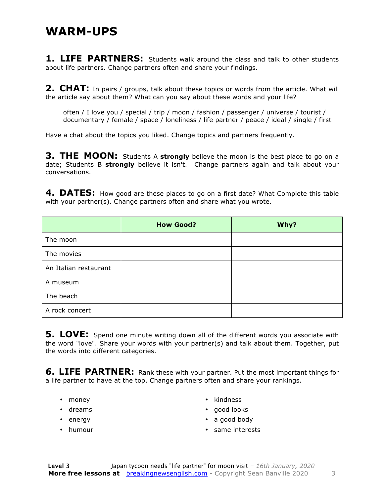#### **WARM-UPS**

**1. LIFE PARTNERS:** Students walk around the class and talk to other students about life partners. Change partners often and share your findings.

**2. CHAT:** In pairs / groups, talk about these topics or words from the article. What will the article say about them? What can you say about these words and your life?

often / I love you / special / trip / moon / fashion / passenger / universe / tourist / documentary / female / space / loneliness / life partner / peace / ideal / single / first

Have a chat about the topics you liked. Change topics and partners frequently.

**3. THE MOON:** Students A strongly believe the moon is the best place to go on a date; Students B **strongly** believe it isn't. Change partners again and talk about your conversations.

**4. DATES:** How good are these places to go on a first date? What Complete this table with your partner(s). Change partners often and share what you wrote.

|                       | <b>How Good?</b> | Why? |
|-----------------------|------------------|------|
| The moon              |                  |      |
| The movies            |                  |      |
| An Italian restaurant |                  |      |
| A museum              |                  |      |
| The beach             |                  |      |
| A rock concert        |                  |      |

**5. LOVE:** Spend one minute writing down all of the different words you associate with the word "love". Share your words with your partner(s) and talk about them. Together, put the words into different categories.

**6. LIFE PARTNER:** Rank these with your partner. Put the most important things for a life partner to have at the top. Change partners often and share your rankings.

- money
- dreams
- energy
- humour
- kindness
- good looks
- a good body
- same interests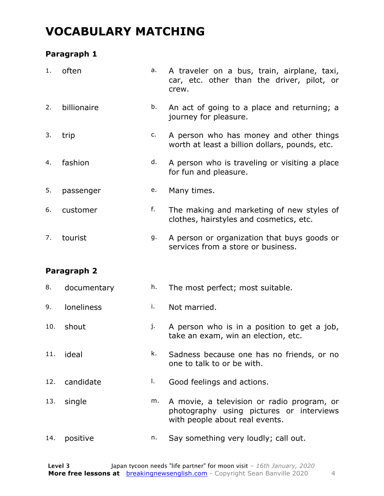### **VOCABULARY MATCHING**

#### **Paragraph 1**

| 1.  | often       | a. | A traveler on a bus, train, airplane, taxi,<br>car, etc. other than the driver, pilot, or<br>crew. |
|-----|-------------|----|----------------------------------------------------------------------------------------------------|
| 2.  | billionaire | b. | An act of going to a place and returning; a<br>journey for pleasure.                               |
| 3.  | trip        | c. | A person who has money and other things<br>worth at least a billion dollars, pounds, etc.          |
| 4.  | fashion     | d. | A person who is traveling or visiting a place<br>for fun and pleasure.                             |
| 5.  | passenger   | e. | Many times.                                                                                        |
| 6.  | customer    | f. | The making and marketing of new styles of<br>clothes, hairstyles and cosmetics, etc.               |
| 7.  | tourist     | g. | A person or organization that buys goods or<br>services from a store or business.                  |
|     | Paragraph 2 |    |                                                                                                    |
| 8.  | documentary | h. | The most perfect; most suitable.                                                                   |
| 9.  | loneliness  | i. | Not married.                                                                                       |
| 10. | shout       | j. | A person who is in a position to get a job,<br>take an exam, win an election, etc.                 |
| 11. | ideal       | k. | Sadness because one has no friends, or no<br>one to talk to or be with.                            |
| 12. | candidate   | Ι. | Good feelings and actions.                                                                         |

- 13. single m. A movie, a television or radio program, or photography using pictures or interviews with people about real events.
- 14. positive n. Say something very loudly; call out.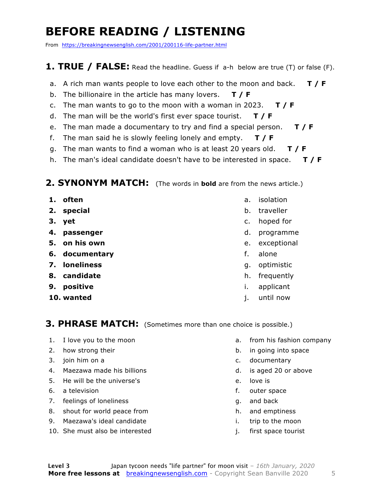### **BEFORE READING / LISTENING**

From https://breakingnewsenglish.com/2001/200116-life-partner.html

#### **1. TRUE / FALSE:** Read the headline. Guess if a-h below are true (T) or false (F).

- a. A rich man wants people to love each other to the moon and back. **T / F**
- b. The billionaire in the article has many lovers. **T / F**
- c. The man wants to go to the moon with a woman in 2023. **T / F**
- d. The man will be the world's first ever space tourist. **T / F**
- e. The man made a documentary to try and find a special person. **T / F**
- f. The man said he is slowly feeling lonely and empty. **T / F**
- g. The man wants to find a woman who is at least 20 years old. **T / F**
- h. The man's ideal candidate doesn't have to be interested in space. **T / F**

#### **2. SYNONYM MATCH:** (The words in **bold** are from the news article.)

- **1. often**
- **2. special**
- **3. yet**
- **4. passenger**
- **5. on his own**
- **6. documentary**
- **7. loneliness**
- **8. candidate**
- **9. positive**
- **10. wanted**
- a. isolation
- b. traveller
- c. hoped for
- d. programme
- e. exceptional
- f. alone
- g. optimistic
- h. frequently
- i. applicant
- j. until now

#### **3. PHRASE MATCH:** (Sometimes more than one choice is possible.)

- 1. I love you to the moon
- 2. how strong their
- 3. join him on a
- 4. Maezawa made his billions
- 5. He will be the universe's
- 6. a television
- 7. feelings of loneliness
- 8. shout for world peace from
- 9. Maezawa's ideal candidate
- 10. She must also be interested
- a. from his fashion company
- b. in going into space
- c. documentary
- d. is aged 20 or above
- e. love is
- f. outer space
- g. and back
- h. and emptiness
- i. trip to the moon
- j. first space tourist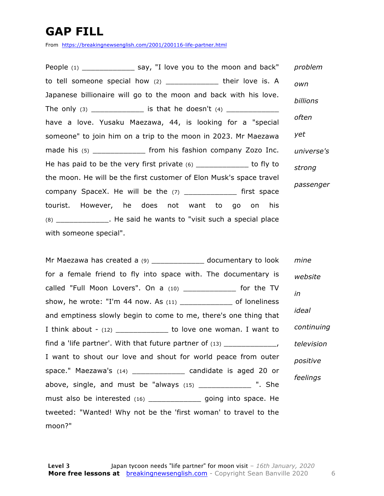### **GAP FILL**

From https://breakingnewsenglish.com/2001/200116-life-partner.html

People (1) The say, "I love you to the moon and back" to tell someone special how  $(2)$  \_\_\_\_\_\_\_\_\_\_\_\_\_ their love is. A Japanese billionaire will go to the moon and back with his love. The only (3) \_\_\_\_\_\_\_\_\_\_\_\_ is that he doesn't (4) \_\_\_\_\_\_\_\_\_\_\_\_ have a love. Yusaku Maezawa, 44, is looking for a "special someone" to join him on a trip to the moon in 2023. Mr Maezawa made his (5) \_\_\_\_\_\_\_\_\_\_\_\_\_\_\_ from his fashion company Zozo Inc. He has paid to be the very first private  $(6)$  \_\_\_\_\_\_\_\_\_\_\_\_\_\_\_ to fly to the moon. He will be the first customer of Elon Musk's space travel company SpaceX. He will be the  $(7)$  \_\_\_\_\_\_\_\_\_\_\_\_\_\_\_ first space tourist. However, he does not want to go on his (8) \_\_\_\_\_\_\_\_\_\_\_\_. He said he wants to "visit such a special place with someone special". *problem own billions often yet universe's strong passenger*

Mr Maezawa has created a (9) \_\_\_\_\_\_\_\_\_\_\_\_\_\_\_\_ documentary to look for a female friend to fly into space with. The documentary is called "Full Moon Lovers". On a (10) \_\_\_\_\_\_\_\_\_\_\_\_ for the TV show, he wrote: "I'm 44 now. As (11) \_\_\_\_\_\_\_\_\_\_\_\_\_\_ of loneliness and emptiness slowly begin to come to me, there's one thing that I think about -  $(12)$  \_\_\_\_\_\_\_\_\_\_\_\_\_\_ to love one woman. I want to find a 'life partner'. With that future partner of  $(13)$ I want to shout our love and shout for world peace from outer space." Maezawa's (14) \_\_\_\_\_\_\_\_\_\_\_\_ candidate is aged 20 or above, single, and must be "always  $(15)$  \_\_\_\_\_\_\_\_\_\_\_\_\_ ". She must also be interested (16) \_\_\_\_\_\_\_\_\_\_\_\_\_\_\_ going into space. He tweeted: "Wanted! Why not be the 'first woman' to travel to the moon?" *mine website in ideal continuing television positive feelings*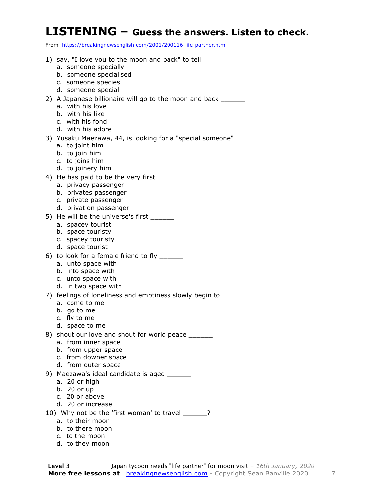#### **LISTENING – Guess the answers. Listen to check.**

From https://breakingnewsenglish.com/2001/200116-life-partner.html

| 1) say, "I love you to the moon and back" to tell ______<br>a. someone specially |
|----------------------------------------------------------------------------------|
| b. someone specialised                                                           |
| c. someone species                                                               |
| d. someone special                                                               |
| 2) A Japanese billionaire will go to the moon and back ______                    |
| a. with his love<br>b. with his like                                             |
| c. with his fond                                                                 |
| d. with his adore                                                                |
| 3) Yusaku Maezawa, 44, is looking for a "special someone"                        |
| a. to joint him                                                                  |
| b. to join him                                                                   |
| c. to joins him                                                                  |
| d. to joinery him                                                                |
| 4) He has paid to be the very first                                              |
| a. privacy passenger<br>b. privates passenger                                    |
| c. private passenger                                                             |
| d. privation passenger                                                           |
| 5) He will be the universe's first                                               |
| a. spacey tourist                                                                |
| b. space touristy                                                                |
| c. spacey touristy<br>d. space tourist                                           |
| 6) to look for a female friend to fly ______                                     |
| a. unto space with                                                               |
| b. into space with                                                               |
| c. unto space with                                                               |
| d. in two space with                                                             |
| 7) feelings of loneliness and emptiness slowly begin to ______                   |
| a. come to me                                                                    |
| b. go to me<br>c. fly to me                                                      |
| d. space to me                                                                   |
| 8) shout our love and shout for world peace ______                               |
| a. from inner space                                                              |
| b. from upper space                                                              |
| c. from downer space                                                             |
| d. from outer space                                                              |
| 9) Maezawa's ideal candidate is aged ______                                      |
| a. 20 or high<br>b. 20 or up                                                     |
| c. 20 or above                                                                   |
| d. 20 or increase                                                                |
| 10) Why not be the 'first woman' to travel ______?                               |
| a. to their moon                                                                 |
| b. to there moon                                                                 |

- c. to the moon
- d. to they moon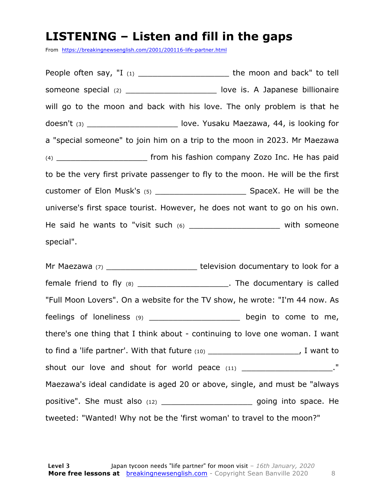#### **LISTENING – Listen and fill in the gaps**

From https://breakingnewsenglish.com/2001/200116-life-partner.html

People often say, "I (1) \_\_\_\_\_\_\_\_\_\_\_\_\_\_\_\_\_\_\_\_\_\_\_\_\_ the moon and back" to tell someone special (2) commonline is. A Japanese billionaire will go to the moon and back with his love. The only problem is that he doesn't (3) \_\_\_\_\_\_\_\_\_\_\_\_\_\_\_\_\_\_\_\_\_\_\_ love. Yusaku Maezawa, 44, is looking for a "special someone" to join him on a trip to the moon in 2023. Mr Maezawa (4) \_\_\_\_\_\_\_\_\_\_\_\_\_\_\_\_\_\_\_ from his fashion company Zozo Inc. He has paid to be the very first private passenger to fly to the moon. He will be the first customer of Elon Musk's (5) \_\_\_\_\_\_\_\_\_\_\_\_\_\_\_\_\_\_\_ SpaceX. He will be the universe's first space tourist. However, he does not want to go on his own. He said he wants to "visit such  $(6)$  and the someone with someone special".

Mr Maezawa (7) \_\_\_\_\_\_\_\_\_\_\_\_\_\_\_\_\_\_\_\_\_\_\_\_\_\_\_ television documentary to look for a female friend to fly (8) The documentary is called "Full Moon Lovers". On a website for the TV show, he wrote: "I'm 44 now. As feelings of loneliness (9) \_\_\_\_\_\_\_\_\_\_\_\_\_\_\_\_\_\_\_ begin to come to me, there's one thing that I think about - continuing to love one woman. I want to find a 'life partner'. With that future (10)  $\qquad \qquad$ , I want to shout our love and shout for world peace (11) \_\_\_\_\_\_\_\_\_\_\_\_\_\_\_\_\_\_\_\_\_\_." Maezawa's ideal candidate is aged 20 or above, single, and must be "always positive". She must also (12) \_\_\_\_\_\_\_\_\_\_\_\_\_\_\_\_\_\_\_\_\_\_\_ going into space. He tweeted: "Wanted! Why not be the 'first woman' to travel to the moon?"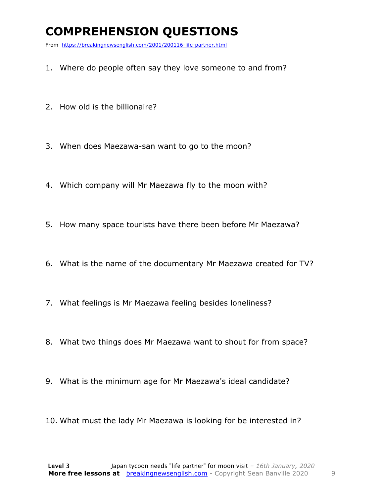### **COMPREHENSION QUESTIONS**

From https://breakingnewsenglish.com/2001/200116-life-partner.html

- 1. Where do people often say they love someone to and from?
- 2. How old is the billionaire?
- 3. When does Maezawa-san want to go to the moon?
- 4. Which company will Mr Maezawa fly to the moon with?
- 5. How many space tourists have there been before Mr Maezawa?
- 6. What is the name of the documentary Mr Maezawa created for TV?
- 7. What feelings is Mr Maezawa feeling besides loneliness?
- 8. What two things does Mr Maezawa want to shout for from space?
- 9. What is the minimum age for Mr Maezawa's ideal candidate?
- 10. What must the lady Mr Maezawa is looking for be interested in?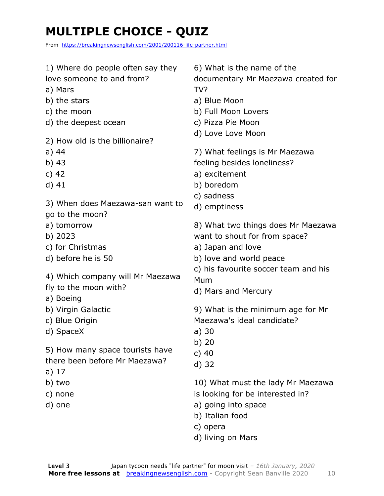### **MULTIPLE CHOICE - QUIZ**

From https://breakingnewsenglish.com/2001/200116-life-partner.html

| 1) Where do people often say they<br>love someone to and from?<br>a) Mars<br>b) the stars<br>c) the moon<br>d) the deepest ocean | 6) What is the name of the<br>documentary Mr Maezawa created for<br>TV?<br>a) Blue Moon<br>b) Full Moon Lovers<br>c) Pizza Pie Moon<br>d) Love Love Moon |
|----------------------------------------------------------------------------------------------------------------------------------|----------------------------------------------------------------------------------------------------------------------------------------------------------|
| 2) How old is the billionaire?                                                                                                   |                                                                                                                                                          |
| a) 44                                                                                                                            | 7) What feelings is Mr Maezawa                                                                                                                           |
| b) 43                                                                                                                            | feeling besides loneliness?                                                                                                                              |
| c) $42$                                                                                                                          | a) excitement                                                                                                                                            |
| $d)$ 41                                                                                                                          | b) boredom                                                                                                                                               |
| 3) When does Maezawa-san want to<br>go to the moon?                                                                              | c) sadness<br>d) emptiness                                                                                                                               |
| a) tomorrow                                                                                                                      | 8) What two things does Mr Maezawa                                                                                                                       |
| b) 2023                                                                                                                          | want to shout for from space?                                                                                                                            |
| c) for Christmas                                                                                                                 | a) Japan and love                                                                                                                                        |
| d) before he is 50                                                                                                               | b) love and world peace                                                                                                                                  |
| 4) Which company will Mr Maezawa<br>fly to the moon with?                                                                        | c) his favourite soccer team and his<br>Mum<br>d) Mars and Mercury                                                                                       |
| a) Boeing<br>b) Virgin Galactic                                                                                                  | 9) What is the minimum age for Mr                                                                                                                        |
| c) Blue Origin                                                                                                                   | Maezawa's ideal candidate?                                                                                                                               |
| d) SpaceX                                                                                                                        | a)30                                                                                                                                                     |
|                                                                                                                                  | b) 20                                                                                                                                                    |
| 5) How many space tourists have                                                                                                  | $c)$ 40                                                                                                                                                  |
| there been before Mr Maezawa?                                                                                                    | d) 32                                                                                                                                                    |
| a) $17$                                                                                                                          |                                                                                                                                                          |
| b) two                                                                                                                           | 10) What must the lady Mr Maezawa                                                                                                                        |
| c) none                                                                                                                          | is looking for be interested in?                                                                                                                         |
| d) one                                                                                                                           | a) going into space                                                                                                                                      |
|                                                                                                                                  | b) Italian food                                                                                                                                          |
|                                                                                                                                  | c) opera                                                                                                                                                 |
|                                                                                                                                  | d) living on Mars                                                                                                                                        |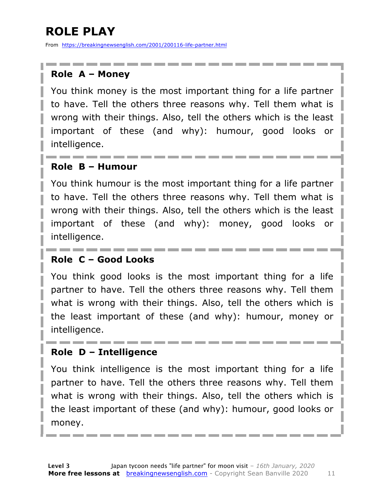### **ROLE PLAY**

From https://breakingnewsenglish.com/2001/200116-life-partner.html

#### **Role A – Money**

You think money is the most important thing for a life partner to have. Tell the others three reasons why. Tell them what is wrong with their things. Also, tell the others which is the least important of these (and why): humour, good looks or intelligence.

#### **Role B – Humour**

You think humour is the most important thing for a life partner to have. Tell the others three reasons why. Tell them what is wrong with their things. Also, tell the others which is the least important of these (and why): money, good looks or intelligence.

#### **Role C – Good Looks**

You think good looks is the most important thing for a life partner to have. Tell the others three reasons why. Tell them what is wrong with their things. Also, tell the others which is the least important of these (and why): humour, money or intelligence.

#### **Role D – Intelligence**

You think intelligence is the most important thing for a life partner to have. Tell the others three reasons why. Tell them what is wrong with their things. Also, tell the others which is the least important of these (and why): humour, good looks or money.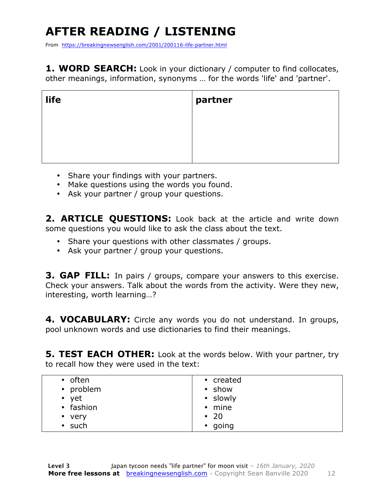## **AFTER READING / LISTENING**

From https://breakingnewsenglish.com/2001/200116-life-partner.html

**1. WORD SEARCH:** Look in your dictionary / computer to find collocates, other meanings, information, synonyms … for the words 'life' and 'partner'.

| life | partner |
|------|---------|
|      |         |
|      |         |

- Share your findings with your partners.
- Make questions using the words you found.
- Ask your partner / group your questions.

2. **ARTICLE OUESTIONS:** Look back at the article and write down some questions you would like to ask the class about the text.

- Share your questions with other classmates / groups.
- Ask your partner / group your questions.

**3. GAP FILL:** In pairs / groups, compare your answers to this exercise. Check your answers. Talk about the words from the activity. Were they new, interesting, worth learning…?

**4. VOCABULARY:** Circle any words you do not understand. In groups, pool unknown words and use dictionaries to find their meanings.

**5. TEST EACH OTHER:** Look at the words below. With your partner, try to recall how they were used in the text:

| • show<br>• slowly<br>• mine<br>$\cdot$ 20 |
|--------------------------------------------|
| • going                                    |
|                                            |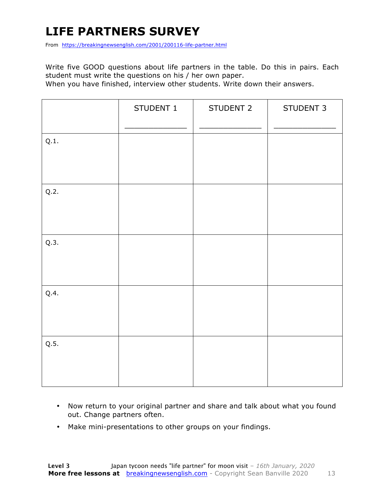### **LIFE PARTNERS SURVEY**

From https://breakingnewsenglish.com/2001/200116-life-partner.html

Write five GOOD questions about life partners in the table. Do this in pairs. Each student must write the questions on his / her own paper.

When you have finished, interview other students. Write down their answers.

|      | STUDENT 1 | STUDENT 2 | STUDENT 3 |
|------|-----------|-----------|-----------|
| Q.1. |           |           |           |
| Q.2. |           |           |           |
| Q.3. |           |           |           |
| Q.4. |           |           |           |
| Q.5. |           |           |           |

- Now return to your original partner and share and talk about what you found out. Change partners often.
- Make mini-presentations to other groups on your findings.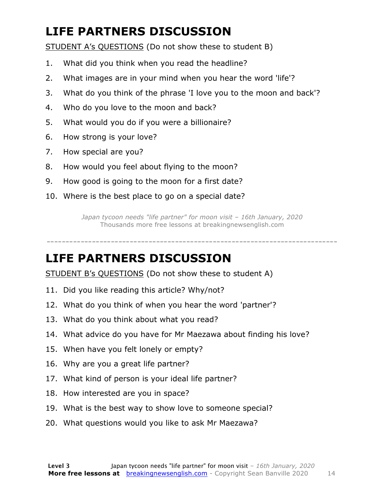### **LIFE PARTNERS DISCUSSION**

STUDENT A's QUESTIONS (Do not show these to student B)

- 1. What did you think when you read the headline?
- 2. What images are in your mind when you hear the word 'life'?
- 3. What do you think of the phrase 'I love you to the moon and back'?
- 4. Who do you love to the moon and back?
- 5. What would you do if you were a billionaire?
- 6. How strong is your love?
- 7. How special are you?
- 8. How would you feel about flying to the moon?
- 9. How good is going to the moon for a first date?
- 10. Where is the best place to go on a special date?

*Japan tycoon needs "life partner" for moon visit – 16th January, 2020* Thousands more free lessons at breakingnewsenglish.com

-----------------------------------------------------------------------------

#### **LIFE PARTNERS DISCUSSION**

STUDENT B's QUESTIONS (Do not show these to student A)

- 11. Did you like reading this article? Why/not?
- 12. What do you think of when you hear the word 'partner'?
- 13. What do you think about what you read?
- 14. What advice do you have for Mr Maezawa about finding his love?
- 15. When have you felt lonely or empty?
- 16. Why are you a great life partner?
- 17. What kind of person is your ideal life partner?
- 18. How interested are you in space?
- 19. What is the best way to show love to someone special?
- 20. What questions would you like to ask Mr Maezawa?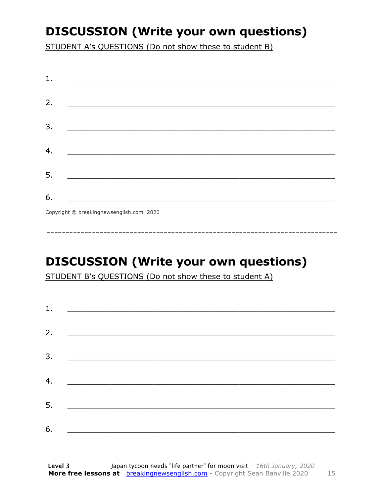### **DISCUSSION (Write your own questions)**

STUDENT A's QUESTIONS (Do not show these to student B)

| 1. |                                          |
|----|------------------------------------------|
|    |                                          |
| 2. |                                          |
|    |                                          |
| 3. |                                          |
|    |                                          |
| 4. |                                          |
|    |                                          |
| 5. |                                          |
|    |                                          |
| 6. | <u> 1990 - Johann Barbara, martin d</u>  |
|    | Convright © breakingnewsenglish com 2020 |

Copyright © breakingnewsenglish.com 2020

### **DISCUSSION (Write your own questions)**

STUDENT B's QUESTIONS (Do not show these to student A)

| 1. |                                                                                                                         |  |  |
|----|-------------------------------------------------------------------------------------------------------------------------|--|--|
|    |                                                                                                                         |  |  |
| 2. | <u> 1980 - Andrea Stationer, fransk politiker (d. 1980)</u>                                                             |  |  |
| 3. |                                                                                                                         |  |  |
|    |                                                                                                                         |  |  |
| 4. | <u> 1980 - Jan Samuel Barbara, margaret eta idazlea (h. 1980).</u>                                                      |  |  |
| 5. | <u> 1986 - Johann Stoff, deutscher Stoffen und der Stoffen und der Stoffen und der Stoffen und der Stoffen und der </u> |  |  |
|    |                                                                                                                         |  |  |
| 6. | <u> 1989 - Johann John Stone, market fan it ferskearre fan it ferskearre fan it ferskearre fan it ferskearre fan i</u>  |  |  |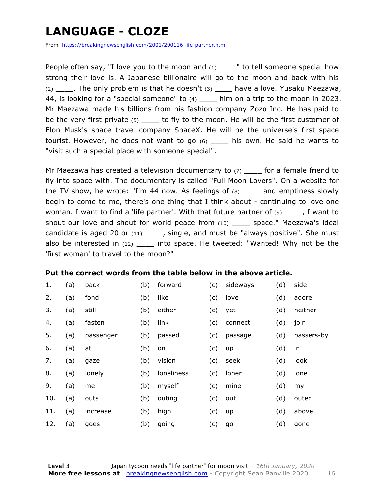### **LANGUAGE - CLOZE**

From https://breakingnewsenglish.com/2001/200116-life-partner.html

People often say, "I love you to the moon and  $(1)$   $\blacksquare$  to tell someone special how strong their love is. A Japanese billionaire will go to the moon and back with his  $(2)$  \_\_\_\_\_. The only problem is that he doesn't  $(3)$  \_\_\_\_ have a love. Yusaku Maezawa, 44, is looking for a "special someone" to (4) \_\_\_\_ him on a trip to the moon in 2023. Mr Maezawa made his billions from his fashion company Zozo Inc. He has paid to be the very first private (5) be the moon. He will be the first customer of Elon Musk's space travel company SpaceX. He will be the universe's first space tourist. However, he does not want to go (6) \_\_\_\_ his own. He said he wants to "visit such a special place with someone special".

Mr Maezawa has created a television documentary to  $(7)$  for a female friend to fly into space with. The documentary is called "Full Moon Lovers". On a website for the TV show, he wrote: "I'm 44 now. As feelings of  $(8)$  \_\_\_\_ and emptiness slowly begin to come to me, there's one thing that I think about - continuing to love one woman. I want to find a 'life partner'. With that future partner of  $(9)$  \_\_\_\_, I want to shout our love and shout for world peace from (10) space." Maezawa's ideal candidate is aged 20 or  $(11)$  \_\_\_\_, single, and must be "always positive". She must also be interested in (12) \_\_\_\_\_ into space. He tweeted: "Wanted! Why not be the 'first woman' to travel to the moon?"

#### **Put the correct words from the table below in the above article.**

| 1.  | (a) | back      | (b) | forward    | (c) | sideways | (d) | side       |
|-----|-----|-----------|-----|------------|-----|----------|-----|------------|
| 2.  | (a) | fond      | (b) | like       | (c) | love     | (d) | adore      |
| 3.  | (a) | still     | (b) | either     | (c) | yet      | (d) | neither    |
| 4.  | (a) | fasten    | (b) | link       | (c) | connect  | (d) | join       |
| 5.  | (a) | passenger | (b) | passed     | (c) | passage  | (d) | passers-by |
| 6.  | (a) | at        | (b) | on         | (c) | up       | (d) | in         |
| 7.  | (a) | gaze      | (b) | vision     | (c) | seek     | (d) | look       |
| 8.  | (a) | lonely    | (b) | loneliness | (c) | loner    | (d) | lone       |
| 9.  | (a) | me        | (b) | myself     | (c) | mine     | (d) | my         |
| 10. | (a) | outs      | (b) | outing     | (c) | out      | (d) | outer      |
| 11. | (a) | increase  | (b) | high       | (c) | up       | (d) | above      |
| 12. | (a) | goes      | (b) | going      | (c) | go       | (d) | gone       |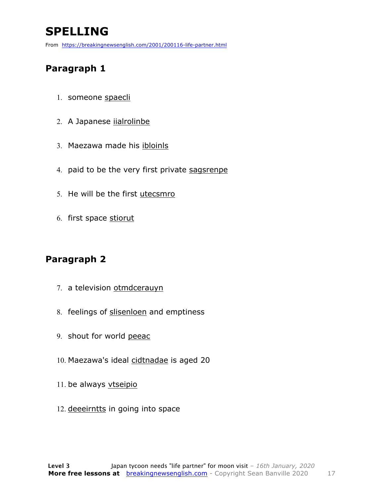### **SPELLING**

From https://breakingnewsenglish.com/2001/200116-life-partner.html

#### **Paragraph 1**

- 1. someone spaecli
- 2. A Japanese iialrolinbe
- 3. Maezawa made his ibloinls
- 4. paid to be the very first private sagsrenpe
- 5. He will be the first utecsmro
- 6. first space stiorut

#### **Paragraph 2**

- 7. a television otmdcerauyn
- 8. feelings of slisenloen and emptiness
- 9. shout for world peeac
- 10. Maezawa's ideal cidtnadae is aged 20
- 11. be always vtseipio
- 12. deeeirntts in going into space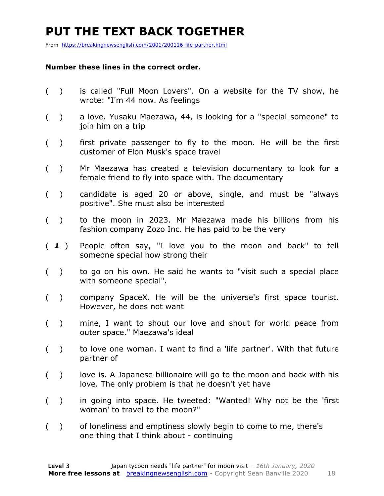### **PUT THE TEXT BACK TOGETHER**

From https://breakingnewsenglish.com/2001/200116-life-partner.html

#### **Number these lines in the correct order.**

- ( ) is called "Full Moon Lovers". On a website for the TV show, he wrote: "I'm 44 now. As feelings
- ( ) a love. Yusaku Maezawa, 44, is looking for a "special someone" to join him on a trip
- ( ) first private passenger to fly to the moon. He will be the first customer of Elon Musk's space travel
- ( ) Mr Maezawa has created a television documentary to look for a female friend to fly into space with. The documentary
- ( ) candidate is aged 20 or above, single, and must be "always positive". She must also be interested
- ( ) to the moon in 2023. Mr Maezawa made his billions from his fashion company Zozo Inc. He has paid to be the very
- ( *1* ) People often say, "I love you to the moon and back" to tell someone special how strong their
- ( ) to go on his own. He said he wants to "visit such a special place with someone special".
- ( ) company SpaceX. He will be the universe's first space tourist. However, he does not want
- ( ) mine, I want to shout our love and shout for world peace from outer space." Maezawa's ideal
- ( ) to love one woman. I want to find a 'life partner'. With that future partner of
- () love is. A Japanese billionaire will go to the moon and back with his love. The only problem is that he doesn't yet have
- ( ) in going into space. He tweeted: "Wanted! Why not be the 'first woman' to travel to the moon?"
- ( ) of loneliness and emptiness slowly begin to come to me, there's one thing that I think about - continuing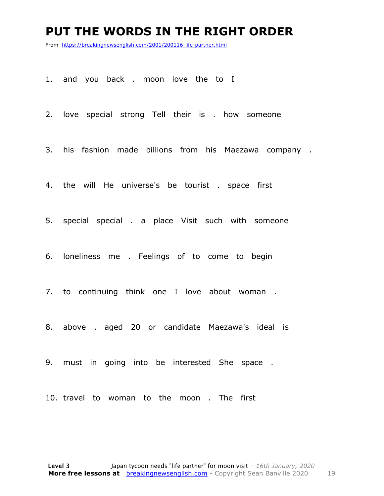#### **PUT THE WORDS IN THE RIGHT ORDER**

From https://breakingnewsenglish.com/2001/200116-life-partner.html

1. and you back . moon love the to I

2. love special strong Tell their is . how someone

3. his fashion made billions from his Maezawa company .

4. the will He universe's be tourist . space first

5. special special . a place Visit such with someone

6. loneliness me . Feelings of to come to begin

7. to continuing think one I love about woman .

8. above . aged 20 or candidate Maezawa's ideal is

9. must in going into be interested She space .

10. travel to woman to the moon . The first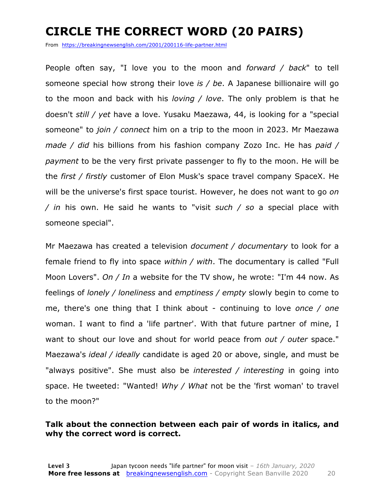### **CIRCLE THE CORRECT WORD (20 PAIRS)**

From https://breakingnewsenglish.com/2001/200116-life-partner.html

People often say, "I love you to the moon and *forward / back*" to tell someone special how strong their love *is / be*. A Japanese billionaire will go to the moon and back with his *loving / love*. The only problem is that he doesn't *still / yet* have a love. Yusaku Maezawa, 44, is looking for a "special someone" to *join / connect* him on a trip to the moon in 2023. Mr Maezawa *made / did* his billions from his fashion company Zozo Inc. He has *paid / payment* to be the very first private passenger to fly to the moon. He will be the *first / firstly* customer of Elon Musk's space travel company SpaceX. He will be the universe's first space tourist. However, he does not want to go *on / in* his own. He said he wants to "visit *such / so* a special place with someone special".

Mr Maezawa has created a television *document / documentary* to look for a female friend to fly into space *within / with*. The documentary is called "Full Moon Lovers". *On / In* a website for the TV show, he wrote: "I'm 44 now. As feelings of *lonely / loneliness* and *emptiness / empty* slowly begin to come to me, there's one thing that I think about - continuing to love *once / one* woman. I want to find a 'life partner'. With that future partner of mine, I want to shout our love and shout for world peace from *out / outer* space." Maezawa's *ideal / ideally* candidate is aged 20 or above, single, and must be "always positive". She must also be *interested / interesting* in going into space. He tweeted: "Wanted! *Why / What* not be the 'first woman' to travel to the moon?"

#### **Talk about the connection between each pair of words in italics, and why the correct word is correct.**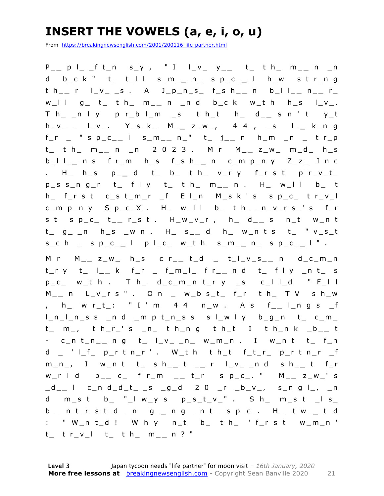### **INSERT THE VOWELS (a, e, i, o, u)**

From https://breakingnewsenglish.com/2001/200116-life-partner.html

P \_\_ p l \_ \_f t\_n s\_y , " I l\_v\_ y\_\_ t\_ t h\_ m\_\_ n \_n d b\_c k " t\_ t\_l l s\_m\_ **\_** n\_ s p\_c\_ **\_** l h\_w s t r\_n g t h\_ **\_** r l\_v\_ \_s . A J\_p\_n\_s\_ f\_s h\_ **\_** n b\_l l\_ **\_** n \_ **\_** r\_ w\_l l g\_ t\_ t h\_ m \_ **\_** n \_n d b\_c k w\_t h h\_s l\_v\_. T h\_ \_n l y p r\_b l\_m \_s t h\_t h\_ d\_ **\_** s n ' t y\_t h\_v\_ \_ l\_v\_. Y\_s\_k\_ M\_ **\_** z\_w\_, 4 4 , \_s l\_ **\_** k\_n g f\_r \_ " s p\_c\_ **\_** l s\_m\_ **\_** n\_" t\_ j\_ **\_** n h\_m \_n \_ t r\_p t\_ t h\_ m\_ **\_** n \_n 2 0 2 3 . M r M\_ **\_** z\_w\_ m\_d\_ h\_s b\_l l\_ **\_** n s f r\_m h\_s f\_s h\_ **\_** n c\_m p\_n y Z\_z\_ I n c . H\_ h\_s p\_ **\_** d t\_ b\_ t h\_ v\_r y f\_r s t p r\_v\_t\_ p\_s s\_n g\_r t\_ f l y t\_ t h\_ m\_ **\_** n . H\_ w\_l l b\_ t h\_ f\_r s t c\_s t\_m\_r \_f E l\_n M\_s k ' s s p\_c\_ t r\_v\_l c\_m p\_n y S p\_c\_X . H\_ w\_l l b\_ t h\_ \_n\_v\_r s\_' s f\_r s t s p\_c\_ t\_ **\_** r\_s t . H\_w\_v\_r , h\_ d\_ **\_** s n\_t w\_n t t\_ g\_ \_n h\_s \_w n . H\_ s\_ **\_** d h\_ w\_n t s t\_ " v\_s\_t s\_c h \_ s p\_c\_ **\_** l p l\_c\_ w\_t h s\_m\_ **\_** n\_ s p\_c\_ **\_** l " . M r M\_ **\_** z\_w\_ h\_s c r\_ **\_** t\_d \_ t\_l\_v\_s\_ **\_** n d\_c\_m\_n t\_r y t\_ l\_ **\_** k f\_r \_ f\_m\_l\_ f r\_ **\_** n d t\_ f l y \_n t\_ s  $p_c$  w\_t h . T h\_ d\_c\_m\_n t\_r y \_s c\_l l\_d " F\_l l M \_ **\_** n L\_v\_r s " . O n \_ w\_b s\_t\_ f\_r t h\_ T V s h\_w , h\_ w r\_t\_: " I ' m 4 4 n\_w . A s f\_ **\_** l\_n g s \_f  $l_n_l_l$ n\_ss \_n d \_m p t\_n\_ss s l\_w l y b\_g\_n t\_ c\_m\_ t\_ m\_, t h\_r\_' s \_n\_ t h\_n g t h\_t I t h\_n k \_b\_ **\_** t - c\_n t\_n\_ **\_** n g t\_ l\_v\_ \_n\_ w\_m\_n . I w\_n t t\_ f\_n d \_ ' l\_f\_ p\_r t n\_r ' . W\_t h t h\_t f\_t\_r\_ p\_r t n\_r \_f m\_n\_, I w\_n t t\_ s h\_ **\_** t \_ **\_** r l\_v\_ \_n d s h\_ **\_** t f\_r w\_r l d p\_ **\_** c\_ f r\_m \_ **\_** t\_r s p\_c\_. " M\_ **\_** z\_w\_' s \_d\_ **\_** l c\_n d\_d\_t\_ \_s \_g\_d 2 0 \_r \_b\_v\_, s\_n g l\_, \_n d m\_s t b\_ "\_l w\_y s p\_s\_t\_v\_". S h\_ m\_s t \_l s\_ b\_ \_n t\_r\_s t\_d \_n g\_ **\_** n g \_n t\_ s p\_c\_. H\_ t w\_ **\_** t\_d : " W\_n t\_d ! W h y n\_t b\_ t h\_ ' f\_r s t w\_m\_n ' t\_ t r\_v\_l t\_ t h\_ m\_ **\_** n ? "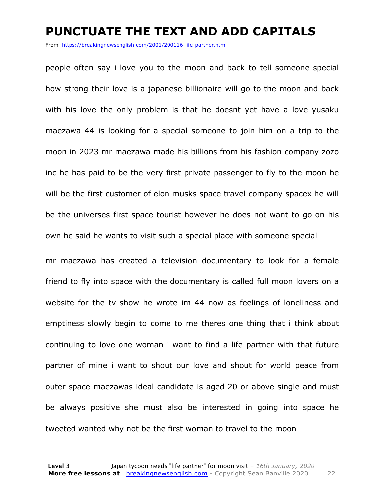#### **PUNCTUATE THE TEXT AND ADD CAPITALS**

From https://breakingnewsenglish.com/2001/200116-life-partner.html

people often say i love you to the moon and back to tell someone special how strong their love is a japanese billionaire will go to the moon and back with his love the only problem is that he doesnt yet have a love yusaku maezawa 44 is looking for a special someone to join him on a trip to the moon in 2023 mr maezawa made his billions from his fashion company zozo inc he has paid to be the very first private passenger to fly to the moon he will be the first customer of elon musks space travel company spacex he will be the universes first space tourist however he does not want to go on his own he said he wants to visit such a special place with someone special

mr maezawa has created a television documentary to look for a female friend to fly into space with the documentary is called full moon lovers on a website for the tv show he wrote im 44 now as feelings of loneliness and emptiness slowly begin to come to me theres one thing that i think about continuing to love one woman i want to find a life partner with that future partner of mine i want to shout our love and shout for world peace from outer space maezawas ideal candidate is aged 20 or above single and must be always positive she must also be interested in going into space he tweeted wanted why not be the first woman to travel to the moon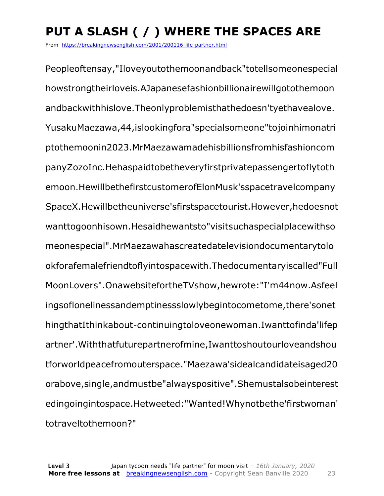## **PUT A SLASH ( / ) WHERE THE SPACES ARE**

From https://breakingnewsenglish.com/2001/200116-life-partner.html

Peopleoftensay,"Iloveyoutothemoonandback"totellsomeonespecial howstrongtheirloveis.AJapanesefashionbillionairewillgotothemoon andbackwithhislove.Theonlyproblemisthathedoesn'tyethavealove. YusakuMaezawa,44,islookingfora"specialsomeone"tojoinhimonatri ptothemoonin2023.MrMaezawamadehisbillionsfromhisfashioncom panyZozoInc.Hehaspaidtobetheveryfirstprivatepassengertoflytoth emoon.HewillbethefirstcustomerofElonMusk'sspacetravelcompany SpaceX.Hewillbetheuniverse'sfirstspacetourist.However,hedoesnot wanttogoonhisown.Hesaidhewantsto"visitsuchaspecialplacewithso meonespecial".MrMaezawahascreatedatelevisiondocumentarytolo okforafemalefriendtoflyintospacewith.Thedocumentaryiscalled"Full MoonLovers".OnawebsitefortheTVshow,hewrote:"I'm44now.Asfeel ingsoflonelinessandemptinessslowlybegintocometome,there'sonet hingthatIthinkabout-continuingtoloveonewoman.Iwanttofinda'lifep artner'.Withthatfuturepartnerofmine,Iwanttoshoutourloveandshou tforworldpeacefromouterspace."Maezawa'sidealcandidateisaged20 orabove,single,andmustbe"alwayspositive".Shemustalsobeinterest edingoingintospace.Hetweeted:"Wanted!Whynotbethe'firstwoman' totraveltothemoon?"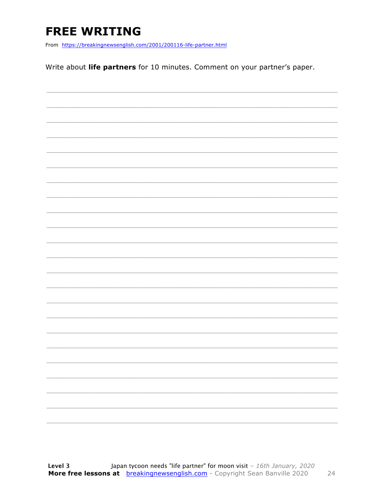### **FREE WRITING**

From https://breakingnewsenglish.com/2001/200116-life-partner.html

Write about life partners for 10 minutes. Comment on your partner's paper.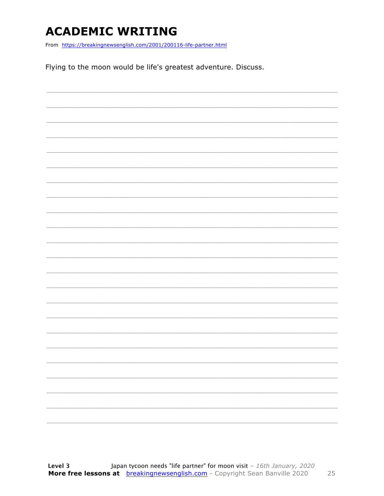### **ACADEMIC WRITING**

From https://breakingnewsenglish.com/2001/200116-life-partner.html

Flying to the moon would be life's greatest adventure. Discuss.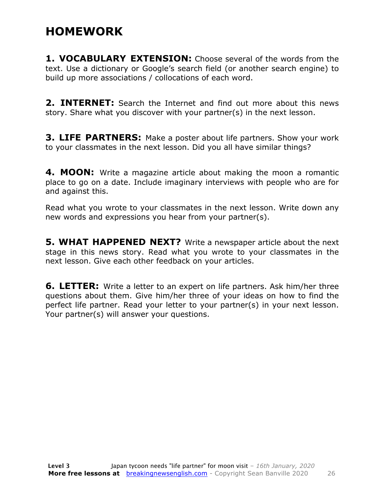### **HOMEWORK**

**1. VOCABULARY EXTENSION:** Choose several of the words from the text. Use a dictionary or Google's search field (or another search engine) to build up more associations / collocations of each word.

**2. INTERNET:** Search the Internet and find out more about this news story. Share what you discover with your partner(s) in the next lesson.

**3. LIFE PARTNERS:** Make a poster about life partners. Show your work to your classmates in the next lesson. Did you all have similar things?

**4. MOON:** Write a magazine article about making the moon a romantic place to go on a date. Include imaginary interviews with people who are for and against this.

Read what you wrote to your classmates in the next lesson. Write down any new words and expressions you hear from your partner(s).

**5. WHAT HAPPENED NEXT?** Write a newspaper article about the next stage in this news story. Read what you wrote to your classmates in the next lesson. Give each other feedback on your articles.

**6. LETTER:** Write a letter to an expert on life partners. Ask him/her three questions about them. Give him/her three of your ideas on how to find the perfect life partner. Read your letter to your partner(s) in your next lesson. Your partner(s) will answer your questions.